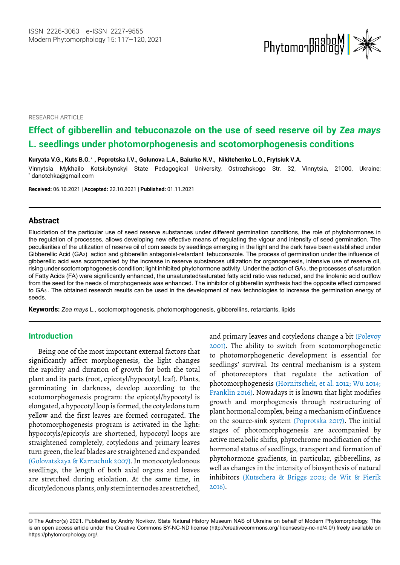

RESEARCH ARTICLE

# **Effect of gibberellin and tebuconazole on the use of seed reserve oil by** *Zea mays*  **L. seedlings under photomorphogenesis and scotomorphogenesis conditions**

**Kuryata V.G., Kuts B.O. \* , Poprotska I.V., Golunova L.A., Baiurko N.V., Nikitchenko L.O., Frytsiuk V.A.**

Vinnytsia Mykhailo Kotsiubynskyi State Pedagogical University, Ostrozhskogo Str. 32, Vinnytsia, 21000, Ukraine; \*  [danotchka@gmail.com](mailto:danotchka@gmail.com)

**Received:** 06.10.2021 | **Accepted:** 22.10.2021 | **Published:** 01.11.2021

### **Abstract**

Elucidation of the particular use of seed reserve substances under different germination conditions, the role of phytohormones in the regulation of processes, allows developing new effective means of regulating the vigour and intensity of seed germination. The peculiarities of the utilization of reserve oil of corn seeds by seedlings emerging in the light and the dark have been established under gibberellic acid was accompanied by the increase in reserve substances utilization for organogenesis, intensive use of reserve oil, of Fatty Acids (FA) were significantly enhanced, the unsaturated/saturated fatty acid ratio was reduced, and the linolenic acid outflow from the seed for the needs of morphogenesis was enhanced. The inhibitor of gibberellin synthesis had the opposite effect compared seeds. Gibberellic Acid (GA3) action and gibberellin antagonist-retardant tebuconazole. The process of germination under the influence of to GA<sup>3</sup> . The obtained research results can be used in the development of new technologies to increase the germination energy of rising under scotomorphogenesis condition; light inhibited phytohormone activity. Under the action of GA3, the processes of saturation

**Keywords:** *Zea mays* L., scotomorphogenesis, photomorphogenesis, gibberellins, retardants, lipids

# **Introduction**

Being one of the most important external factors that significantly affect morphogenesis, the light changes the rapidity and duration of growth for both the total plant and its parts (root, epicotyl/hypocotyl, leaf). Plants, germinating in darkness, develop according to the scotomorphogenesis program: the epicotyl/hypocotyl is elongated, a hypocotyl loop is formed, the cotyledons turn yellow and the first leaves are formed corrugated. The photomorphogenesis program is activated in the light: hypocotyls/epicotyls are shortened, hypocotyl loops are straightened completely, cotyledons and primary leaves turn green, the leaf blades are straightened and expanded (Golovatskaya & Karnachuk 2007). In monocotyledonous seedlings, the length of both axial organs and leaves are stretched during etiolation. At the same time, in dicotyledonous plants, only stem internodes are stretched,

and primary leaves and cotyledons change a bit (Polevoy 2001). The ability to switch from scotomorphogenetic to photomorphogenetic development is essential for seedlings' survival. Its central mechanism is a system of photoreceptors that regulate the activation of photomorphogenesis (Hornitschek, et al. 2012; Wu 2014; Franklin 2016). Nowadays it is known that light modifies growth and morphogenesis through restructuring of plant hormonal complex, being a mechanism of influence on the source-sink system (Poprotska 2017). The initial stages of photomorphogenesis are accompanied by active metabolic shifts, phytochrome modification of the hormonal status of seedlings, transport and formation of phytohormone gradients, in particular, gibberellins, as well as changes in the intensity of biosynthesis of natural inhibitors (Kutschera & Briggs 2003; de Wit & Pierik 2016).

<sup>©</sup> The Author(s) 2021. Published by Andriy Novikov, State Natural History Museum NAS of Ukraine on behalf of Modern Phytomorphology. This is an open access article under the Creative Commons BY-NC-ND license (http://creativecommons.org/ licenses/by-nc-nd/4.0/) freely available on https://phytomorphology.org/.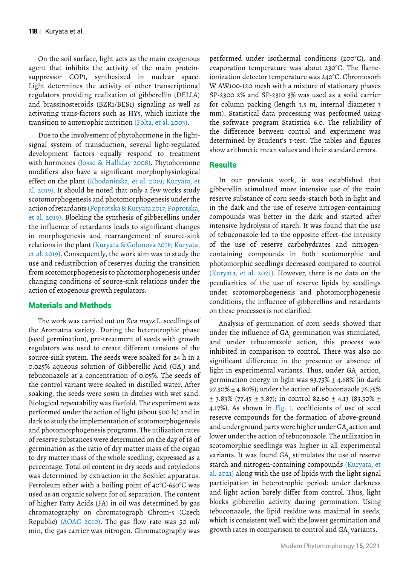On the soil surface, light acts as the main exogenous agent that inhibits the activity of the main proteinsuppressor COP1, synthesized in nuclear space. Light determines the activity of other transcriptional regulators providing realization of gibberellin (DELLA) and brassinosteroids (BZR1/BES1) signaling as well as activating trans-factors such as HY5, which initiate the transition to autotrophic nutrition (Folta, et al. 2003).

Due to the involvement of phytohormone in the lightsignal system of transduction, several light-regulated development factors equally respond to treatment with hormones (Josse & Halliday 2008). Phytohormone modifiers also have a significant morphophysiological effect on the plant (Khodanitska, et al. 2019; Kuryata, et al. 2019). It should be noted that only a few works study scotomorphogenesis and photomorphogenesis under the action of retardants (Poprotska & Kuryata 2017; Poprotska, et al. 2019). Blocking the synthesis of gibberellins under the influence of retardants leads to significant changes in morphogenesis and rearrangement of source-sink relations in the plant (Kuryata & Golunova 2018; Kuryata, et al. 2019). Consequently, the work aim was to study the use and redistribution of reserves during the transition from scotomorphogenesis to photomorphogenesis under changing conditions of source-sink relations under the action of exogenous growth regulators.

## Materials and Methods

The work was carried out on Zea mays L. seedlings of the Aromatna variety. During the heterotrophic phase (seed germination), pre-treatment of seeds with growth regulators was used to create different tensions of the source-sink system. The seeds were soaked for 24 h in a 0.025% aqueous solution of Gibberellic Acid  $(\mathrm{GA}_{\mathfrak{z}})$  and tebuconazole at a concentration of 0.05%. The seeds of the control variant were soaked in distilled water. After soaking, the seeds were sown in ditches with wet sand. Biological repeatability was fivefold. The experiment was performed under the action of light (about 500 lx) and in dark to study the implementation of scotomorphogenesis and photomorphogenesis programs. The utilization rates of reserve substances were determined on the day of 18 of germination as the ratio of dry matter mass of the organ to dry matter mass of the whole seedling, expressed as a percentage. Total oil content in dry seeds and cotyledons was determined by extraction in the Soxhlet apparatus. Petroleum ether with a boiling point of 40°C-650°C was used as an organic solvent for oil separation. The content of higher Fatty Acids (FA) in oil was determined by gas chromatography on chromatograph Chrom-5 (Czech Republic) (AOAC 2010). The gas flow rate was 50 ml/ min, the gas carrier was nitrogen. Chromatography was

performed under isothermal conditions (200°C), and evaporation temperature was about 230°C. The flameionization detector temperature was 240°C. Chromosorb W AW100-120 mesh with a mixture of stationary phases SP-2300 2% and SP-2310 3% was used as a solid carrier for column packing (length 3.5 m, internal diameter 3 mm). Statistical data processing was performed using the software program Statistica 6.0. The reliability of the difference between control and experiment was determined by Student's t-test. The tables and figures show arithmetic mean values and their standard errors.

# **Results**

In our previous work, it was established that gibberellin stimulated more intensive use of the main reserve substance of corn seeds–starch both in light and in the dark and the use of reserve nitrogen-containing compounds was better in the dark and started after intensive hydrolysis of starch. It was found that the use of tebuconazole led to the opposite effect–the intensity of the use of reserve carbohydrates and nitrogencontaining compounds in both scotomorphic and photomorphic seedlings decreased compared to control (Kuryata, et al. 2021). However, there is no data on the peculiarities of the use of reserve lipids by seedlings under scotomorphogenesis and photomorphogenesis conditions, the influence of gibberellins and retardants on these processes is not clarified.

Analysis of germination of corn seeds showed that under the influence of GA $_{\textrm{\tiny{3}}}$  germination was stimulated, and under tebuconazole action, this process was inhibited in comparison to control. There was also no significant difference in the presence or absence of light in experimental variants. Thus, under  $\text{GA}_{\tiny{\text{3}}}$  action, germination energy in light was  $93.75\% \pm 4.68\%$  (in dark 97.30% ± 4.80%); under the action of tebuconazole 76.75%  $\pm$  3.83% (77.45  $\pm$  3.87); in control 82.60  $\pm$  4.13 (83.50%  $\pm$ 4.17%). As shown in Fig. 1, coefficients of use of seed reserve compounds for the formation of above-ground and underground parts were higher under GA<sub>,</sub> action and lower under the action of tebuconazole. The utilization in scotomorphic seedlings was higher in all experimental variants. It was found GA $_{\tiny{3}}$  stimulates the use of reserve starch and nitrogen-containing compounds (Kuryata, et al. 2021) along with the use of lipids with the light signal participation in heterotrophic period: under darkness and light action barely differ from control. Thus, light blocks gibberellin activity during germination. Using tebuconazole, the lipid residue was maximal in seeds, which is consistent well with the lowest germination and growth rates in comparison to control and GA $_{\textrm{\tiny{\tiny{3}}}}$  variants.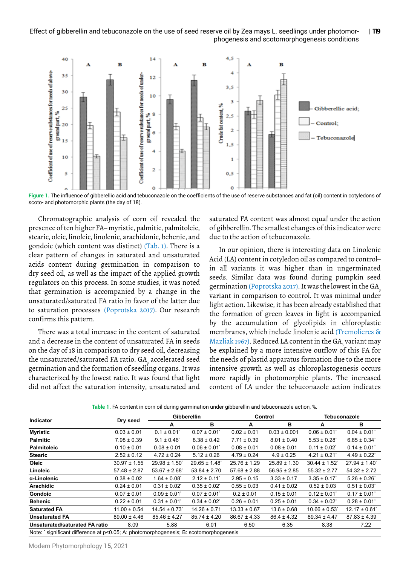#### Effect of gibberellin and tebuconazole on the use of seed reserve oil by Zea mays L. seedlings under photomorphogenesis and scotomorphogenesis conditions | **119**



**Figure 1.** The influence of gibberellic acid and tebuconazole on the coefficients of the use of reserve substances and fat (oil) content in cotyledons of scoto- and photomorphic plants (the day of 18).

Chromatographic analysis of corn oil revealed the presence of ten higher FA– myristic, palmitic, palmitoleic, stearic, oleic, linoleic, linolenic, arachidonic, behenic, and gondoic (which content was distinct) (Tab. 1). There is a clear pattern of changes in saturated and unsaturated acids content during germination in comparison to dry seed oil, as well as the impact of the applied growth regulators on this process. In some studies, it was noted that germination is accompanied by a change in the unsaturated/saturated FA ratio in favor of the latter due to saturation processes (Poprotska 2017). Our research confirms this pattern.

There was a total increase in the content of saturated and a decrease in the content of unsaturated FA in seeds on the day of 18 in comparison to dry seed oil, decreasing the unsaturated/saturated FA ratio. GA<sub>3</sub> accelerated seed germination and the formation of seedling organs. It was characterized by the lowest ratio. It was found that light did not affect the saturation intensity, unsaturated and

saturated FA content was almost equal under the action of gibberellin. The smallest changes of this indicator were due to the action of tebuconazole.

In our opinion, there is interesting data on Linolenic Acid (LA) content in cotyledon oil as compared to control– in all variants it was higher than in ungerminated seeds. Similar data was found during pumpkin seed germination (Poprotska 2017). It was the lowest in the GA<sub>3</sub> variant in comparison to control. It was minimal under light action. Likewise, it has been already established that the formation of green leaves in light is accompanied by the accumulation of glycolipids in chloroplastic membranes, which include linolenic acid (Tremolieres & Mazliak 1967). Reduced LA content in the GA<sub>3</sub> variant may be explained by a more intensive outflow of this FA for the needs of plastid apparatus formation due to the more intensive growth as well as chloroplastogenesis occurs more rapidly in photomorphic plants. The increased content of LA under the tebuconazole action indicates

| Table 1. FA content in corn oil during germination under gibberellin and tebuconazole action, %. |  |  |  |
|--------------------------------------------------------------------------------------------------|--|--|--|
|--------------------------------------------------------------------------------------------------|--|--|--|

| <b>Indicator</b>                                                                       | Dry seed         | <b>Gibberellin</b>           |                              | Control          |                  | Tebuconazole                 |                  |  |
|----------------------------------------------------------------------------------------|------------------|------------------------------|------------------------------|------------------|------------------|------------------------------|------------------|--|
|                                                                                        |                  | A                            | в                            | A                | в                | A                            | в                |  |
| <b>Myristic</b>                                                                        | $0.03 \pm 0.01$  | $0.1 \pm 0.01$               | $0.07 \pm 0.01$ <sup>*</sup> | $0.02 \pm 0.01$  | $0.03 \pm 0.001$ | $0.06 \pm 0.01$ <sup>*</sup> | $0.04 \pm 0.01$  |  |
| <b>Palmitic</b>                                                                        | $7.98 \pm 0.39$  | $9.1 \pm 0.46^{\circ}$       | $8.38 \pm 0.42$              | $7.71 \pm 0.39$  | $8.01 \pm 0.40$  | $5.53 \pm 0.28$              | $6.85 \pm 0.34$  |  |
| <b>Palmitoleic</b>                                                                     | $0.10 \pm 0.01$  | $0.08 \pm 0.01$              | $0.06 \pm 0.01$              | $0.08 \pm 0.01$  | $0.08 \pm 0.01$  | $0.11 \pm 0.02^{\circ}$      | $0.14 \pm 0.01$  |  |
| <b>Stearic</b>                                                                         | $2.52 \pm 0.12$  | $4.72 \pm 0.24$              | $5.12 \pm 0.26$              | $4.79 \pm 0.24$  | $4.9 \pm 0.25$   | $4.21 \pm 0.21$              | $4.49 \pm 0.22$  |  |
| Oleic                                                                                  | $30.97 \pm 1.55$ | $29.98 \pm 1.50$             | $29.65 \pm 1.48$             | $25.76 \pm 1.29$ | $25.89 \pm 1.30$ | $30.44 \pm 1.52$             | $27.94 \pm 1.40$ |  |
| Linoleic                                                                               | $57.48 \pm 2.87$ | $53.67 \pm 2.68$             | $53.84 \pm 2.70$             | $57.68 \pm 2.88$ | $56.95 \pm 2.85$ | $55.32 \pm 2.77$             | $54.32 \pm 2.72$ |  |
| a-Linolenic                                                                            | $0.38 \pm 0.02$  | $1.64 \pm 0.08$ <sup>*</sup> | $2.12 \pm 0.11$              | $2.95 \pm 0.15$  | $3.33 \pm 0.17$  | $3.35 \pm 0.17$              | $5.26 \pm 0.26$  |  |
| Arachidic                                                                              | $0.24 \pm 0.01$  | $0.31 \pm 0.02$              | $0.35 \pm 0.02^{\circ}$      | $0.55 \pm 0.03$  | $0.41 \pm 0.02$  | $0.52 \pm 0.03$              | $0.51 \pm 0.03$  |  |
| <b>Gondoic</b>                                                                         | $0.07 \pm 0.01$  | $0.09 \pm 0.01$              | $0.07 \pm 0.01$ <sup>*</sup> | $0.2 \pm 0.01$   | $0.15 \pm 0.01$  | $0.12 \pm 0.01$              | $0.17 \pm 0.01$  |  |
| <b>Behenic</b>                                                                         | $0.22 \pm 0.01$  | $0.31 \pm 0.01$ <sup>*</sup> | $0.34 \pm 0.02$ <sup>*</sup> | $0.26 \pm 0.01$  | $0.25 \pm 0.01$  | $0.34 \pm 0.02$              | $0.28 \pm 0.01$  |  |
| <b>Saturated FA</b>                                                                    | $11.00 \pm 0.54$ | $14.54 \pm 0.73$             | $14.26 \pm 0.71$             | $13.33 \pm 0.67$ | $13.6 \pm 0.68$  | $10.66 \pm 0.53$             | $12.17 \pm 0.61$ |  |
| <b>Unsaturated FA</b>                                                                  | $89.00 \pm 4.46$ | $85.46 \pm 4.27$             | $85.74 \pm 4.20$             | $86.67 \pm 4.33$ | $86.4 \pm 4.32$  | $89.34 \pm 4.47$             | $87.83 \pm 4.39$ |  |
| Unsaturated/saturated FA ratio                                                         | 8.09             | 5.88                         | 6.01                         | 6.50             | 6.35             | 8.38                         | 7.22             |  |
| Note: * significant difference at p<0.05; A: photomorphogenesis; B: scotomorphogenesis |                  |                              |                              |                  |                  |                              |                  |  |